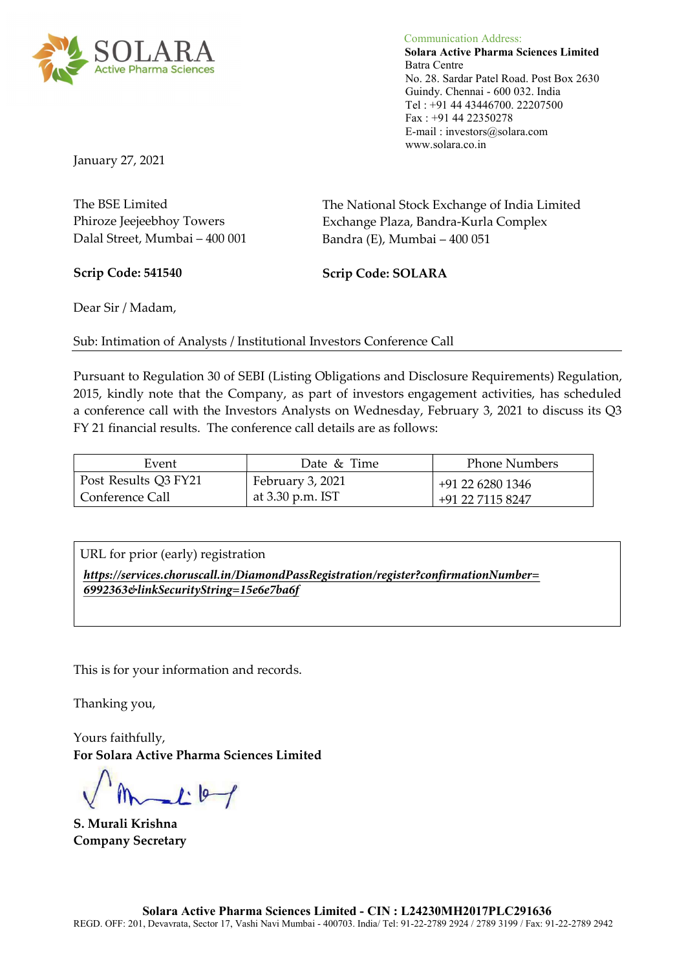

Communication Address: Solara Active Pharma Sciences Limited Batra Centre No. 28. Sardar Patel Road. Post Box 2630 Guindy. Chennai - 600 032. India Tel : +91 44 43446700. 22207500 Fax : +91 44 22350278 E-mail : investors@solara.com www.solara.co.in

January 27, 2021

| The National Stock Exchange of India Limited |
|----------------------------------------------|
| Exchange Plaza, Bandra-Kurla Complex         |
| Bandra (E), Mumbai – 400 051                 |
|                                              |

Scrip Code: 541540 Scrip Code: SOLARA

Dear Sir / Madam,

Sub: Intimation of Analysts / Institutional Investors Conference Call

Pursuant to Regulation 30 of SEBI (Listing Obligations and Disclosure Requirements) Regulation, 2015, kindly note that the Company, as part of investors engagement activities, has scheduled a conference call with the Investors Analysts on Wednesday, February 3, 2021 to discuss its Q3 FY 21 financial results. The conference call details are as follows:

| Event                  | Date & Time      | <b>Phone Numbers</b> |
|------------------------|------------------|----------------------|
| Post Results Q3 FY21   | February 3, 2021 | +91 22 6280 1346     |
| <b>Conference Call</b> | at 3.30 p.m. IST | +91 22 7115 8247     |

URL for prior (early) registration

*https://services.choruscall.in/DiamondPassRegistration/register?confirmationNumber= 6992363&linkSecurityString=15e6e7ba6f*

This is for your information and records.

Thanking you,

Yours faithfully, For Solara Active Pharma Sciences Limited

 $L^{10}$ 

S. Murali Krishna Company Secretary